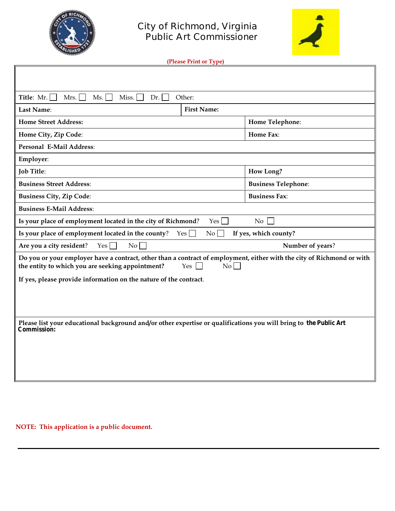



| (Please Print or Type) |
|------------------------|
|------------------------|

| Title: $Mr.$<br>Mrs.<br>Ms.<br>Miss.<br>Dr.<br>Other:                                                                                                                                          |                    |                            |  |  |  |
|------------------------------------------------------------------------------------------------------------------------------------------------------------------------------------------------|--------------------|----------------------------|--|--|--|
| Last Name:                                                                                                                                                                                     | <b>First Name:</b> |                            |  |  |  |
| <b>Home Street Address:</b>                                                                                                                                                                    |                    | Home Telephone:            |  |  |  |
| Home City, Zip Code:                                                                                                                                                                           |                    | Home Fax:                  |  |  |  |
| Personal E-Mail Address:                                                                                                                                                                       |                    |                            |  |  |  |
| Employer:                                                                                                                                                                                      |                    |                            |  |  |  |
| <b>Job Title:</b>                                                                                                                                                                              |                    | How Long?                  |  |  |  |
| <b>Business Street Address:</b>                                                                                                                                                                |                    | <b>Business Telephone:</b> |  |  |  |
| <b>Business City, Zip Code:</b>                                                                                                                                                                |                    | <b>Business Fax:</b>       |  |  |  |
| <b>Business E-Mail Address:</b>                                                                                                                                                                |                    |                            |  |  |  |
| Is your place of employment located in the city of Richmond?<br>No<br>Yes                                                                                                                      |                    |                            |  |  |  |
| Is your place of employment located in the county?<br>If yes, which county?<br>Yes<br>No                                                                                                       |                    |                            |  |  |  |
| Are you a city resident?<br>Yes <sub>l</sub><br>$\overline{N_{0}}$<br>Number of years?                                                                                                         |                    |                            |  |  |  |
| Do you or your employer have a contract, other than a contract of employment, either with the city of Richmond or with<br>the entity to which you are seeking appointment?<br>Yes $\Box$<br>No |                    |                            |  |  |  |
| If yes, please provide information on the nature of the contract.                                                                                                                              |                    |                            |  |  |  |
|                                                                                                                                                                                                |                    |                            |  |  |  |
|                                                                                                                                                                                                |                    |                            |  |  |  |
| Please list your educational background and/or other expertise or qualifications you will bring to the Public Art                                                                              |                    |                            |  |  |  |
| Commission:                                                                                                                                                                                    |                    |                            |  |  |  |
|                                                                                                                                                                                                |                    |                            |  |  |  |
|                                                                                                                                                                                                |                    |                            |  |  |  |
|                                                                                                                                                                                                |                    |                            |  |  |  |
|                                                                                                                                                                                                |                    |                            |  |  |  |

**NOTE:** This application is a public document.